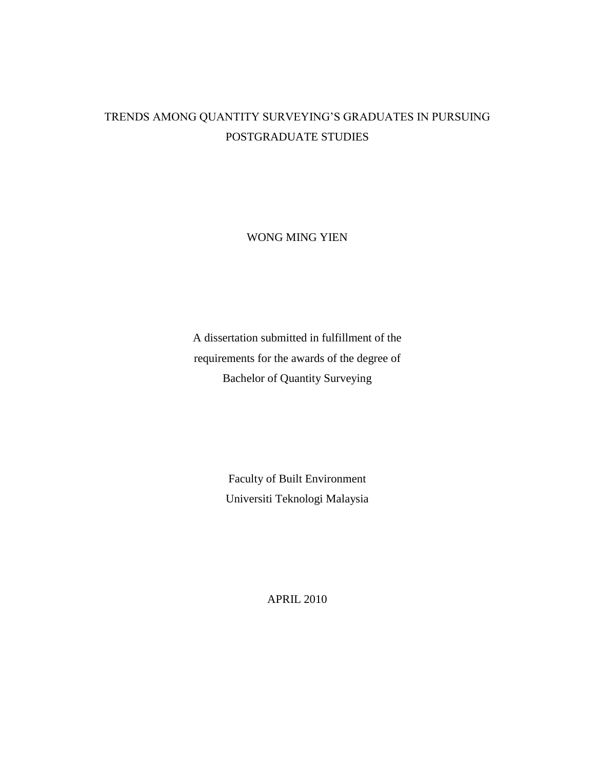## TRENDS AMONG QUANTITY SURVEYING'S GRADUATES IN PURSUING POSTGRADUATE STUDIES

WONG MING YIEN

A dissertation submitted in fulfillment of the requirements for the awards of the degree of Bachelor of Quantity Surveying

> Faculty of Built Environment Universiti Teknologi Malaysia

> > APRIL 2010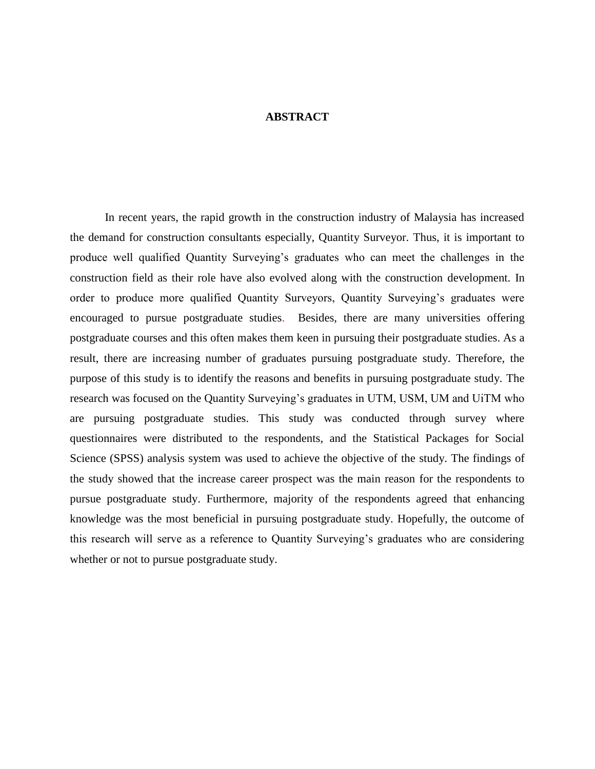## **ABSTRACT**

In recent years, the rapid growth in the construction industry of Malaysia has increased the demand for construction consultants especially, Quantity Surveyor. Thus, it is important to produce well qualified Quantity Surveying's graduates who can meet the challenges in the construction field as their role have also evolved along with the construction development. In order to produce more qualified Quantity Surveyors, Quantity Surveying's graduates were encouraged to pursue postgraduate studies. Besides, there are many universities offering postgraduate courses and this often makes them keen in pursuing their postgraduate studies. As a result, there are increasing number of graduates pursuing postgraduate study. Therefore, the purpose of this study is to identify the reasons and benefits in pursuing postgraduate study. The research was focused on the Quantity Surveying's graduates in UTM, USM, UM and UiTM who are pursuing postgraduate studies. This study was conducted through survey where questionnaires were distributed to the respondents, and the Statistical Packages for Social Science (SPSS) analysis system was used to achieve the objective of the study. The findings of the study showed that the increase career prospect was the main reason for the respondents to pursue postgraduate study. Furthermore, majority of the respondents agreed that enhancing knowledge was the most beneficial in pursuing postgraduate study. Hopefully, the outcome of this research will serve as a reference to Quantity Surveying's graduates who are considering whether or not to pursue postgraduate study.